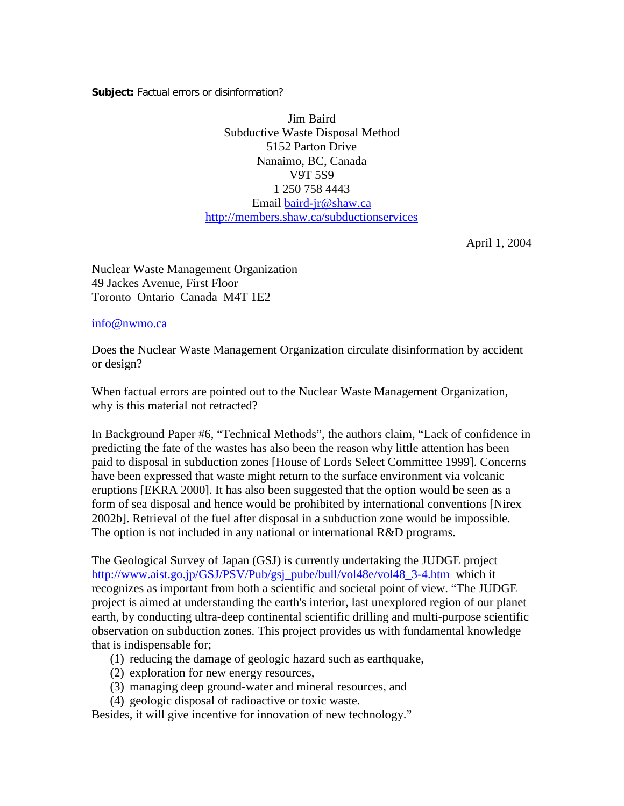**Subject:** Factual errors or disinformation?

Jim Baird Subductive Waste Disposal Method 5152 Parton Drive Nanaimo, BC, Canada V9T 5S9 1 250 758 4443 Email [baird-jr@shaw.ca](mailto:baird-jr@shaw.ca) [http://members.shaw.ca/subductionservices](http://members.shaw.ca/subductionservices/)

April 1, 2004

Nuclear Waste Management Organization 49 Jackes Avenue, First Floor Toronto Ontario Canada M4T 1E2

[info@nwmo.ca](mailto:info@nwmo.ca)

Does the Nuclear Waste Management Organization circulate disinformation by accident or design?

When factual errors are pointed out to the Nuclear Waste Management Organization, why is this material not retracted?

In Background Paper #6, "Technical Methods", the authors claim, "Lack of confidence in predicting the fate of the wastes has also been the reason why little attention has been paid to disposal in subduction zones [House of Lords Select Committee 1999]. Concerns have been expressed that waste might return to the surface environment via volcanic eruptions [EKRA 2000]. It has also been suggested that the option would be seen as a form of sea disposal and hence would be prohibited by international conventions [Nirex 2002b]. Retrieval of the fuel after disposal in a subduction zone would be impossible. The option is not included in any national or international R&D programs.

The Geological Survey of Japan (GSJ) is currently undertaking the JUDGE project [http://www.aist.go.jp/GSJ/PSV/Pub/gsj\\_pube/bull/vol48e/vol48\\_3-4.htm](http://www.aist.go.jp/GSJ/PSV/Pub/gsj_pube/bull/vol48e/vol48_3-4.htm) which it recognizes as important from both a scientific and societal point of view. "The JUDGE project is aimed at understanding the earth's interior, last unexplored region of our planet earth, by conducting ultra-deep continental scientific drilling and multi-purpose scientific observation on subduction zones. This project provides us with fundamental knowledge that is indispensable for;

- (1) reducing the damage of geologic hazard such as earthquake,
- (2) exploration for new energy resources,
- (3) managing deep ground-water and mineral resources, and
- (4) geologic disposal of radioactive or toxic waste.

Besides, it will give incentive for innovation of new technology."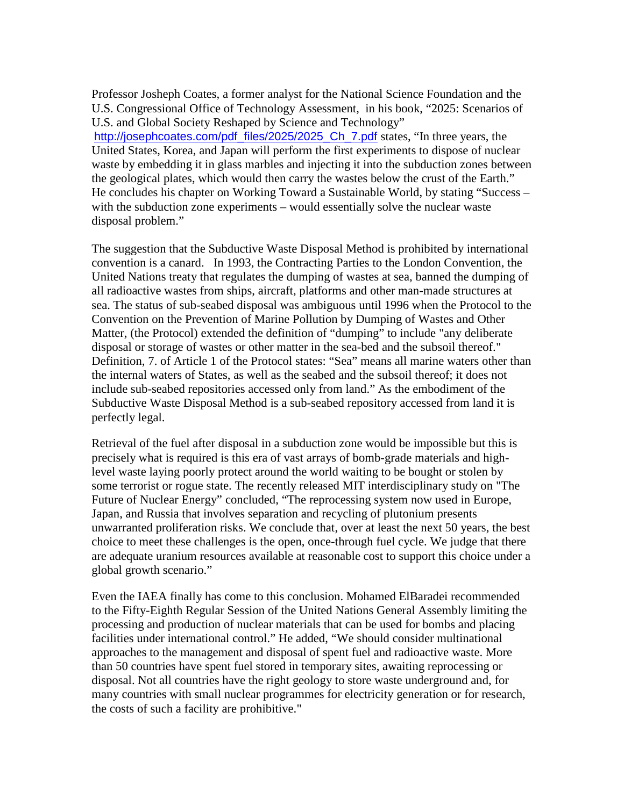Professor Josheph Coates, a former analyst for the National Science Foundation and the U.S. Congressional Office of Technology Assessment, in his book, "2025: Scenarios of U.S. and Global Society Reshaped by Science and Technology" [http://josephcoates.com/pdf\\_files/2025/2025\\_Ch\\_7.pdf](http://josephcoates.com/pdf_files/2025/2025_Ch_7.pdf) states, "In three years, the United States, Korea, and Japan will perform the first experiments to dispose of nuclear waste by embedding it in glass marbles and injecting it into the subduction zones between the geological plates, which would then carry the wastes below the crust of the Earth." He concludes his chapter on [Working Toward a Sustainable World, b](http://josephcoates.com/pdf_files/2025/2025_Ch_7.pdf)y stating "Success – with the subduction zone experiments – would essentially solve the nuclear waste disposal problem."

The suggestion that the Subductive Waste Disposal Method is prohibited by international convention is a canard. In 1993, the Contracting Parties to the London Convention, the United Nations treaty that regulates the dumping of wastes at sea, banned the dumping of all radioactive wastes from ships, aircraft, platforms and other man-made structures at sea. The status of sub-seabed disposal was ambiguous until 1996 when the Protocol to the Convention on the Prevention of Marine Pollution by Dumping of Wastes and Other Matter, (the Protocol) extended the definition of "dumping" to include "any deliberate disposal or storage of wastes or other matter in the sea-bed and the subsoil thereof." Definition, 7. of Article 1 of the Protocol states: "Sea" means all marine waters other than the internal waters of States, as well as the seabed and the subsoil thereof; it does not include sub-seabed repositories accessed only from land." As the embodiment of the Subductive Waste Disposal Method is a sub-seabed repository accessed from land it is perfectly legal.

Retrieval of the fuel after disposal in a subduction zone would be impossible but this is precisely what is required is this era of vast arrays of bomb-grade materials and highlevel waste laying poorly protect around the world waiting to be bought or stolen by some terrorist or rogue state. The recently released MIT interdisciplinary study on "The Future of Nuclear Energy" concluded, "The reprocessing system now used in Europe, Japan, and Russia that involves separation and recycling of plutonium presents unwarranted proliferation risks. We conclude that, over at least the next 50 years, the best choice to meet these challenges is the open, once-through fuel cycle. We judge that there are adequate uranium resources available at reasonable cost to support this choice under a global growth scenario."

Even the IAEA finally has come to this conclusion. [Mohamed ElBaradei r](http://www.world-nuclear.org/opinion/economist181003.htm)ecommended to the Fifty-Eighth Regular Session of the United Nations General Assembly limiting the processing and production of nuclear materials that can be used for bombs and placing facilities under international control." He added, "We should consider multinational approaches to the management and disposal of spent fuel and radioactive waste. More than 50 countries have spent fuel stored in temporary sites, awaiting reprocessing or disposal. Not all countries have the right geology to store waste underground and, for many countries with small nuclear programmes for electricity generation or for research, the costs of such a facility are prohibitive."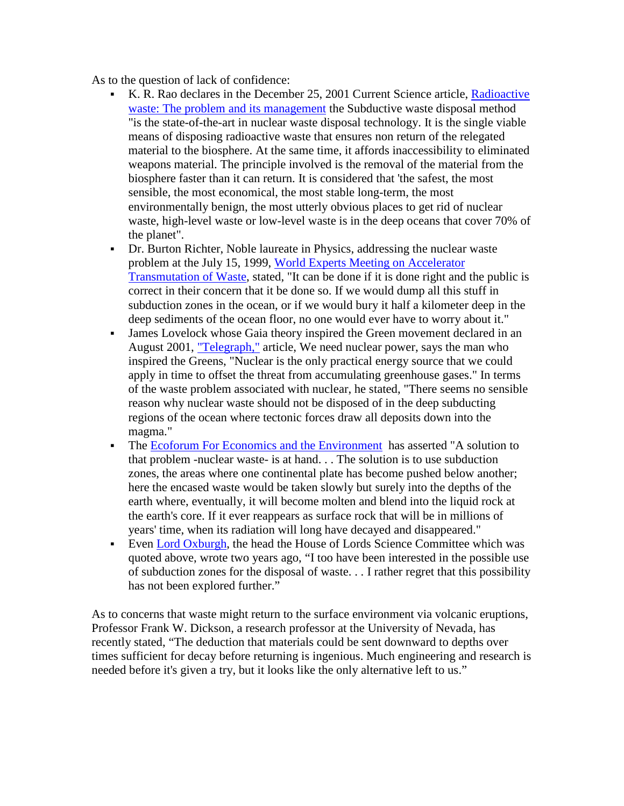As to the question of lack of confidence:

- K. R. Rao declares in the December 25, 2001 Current Science article, [Radioactive](http://216.239.33.104/search?q=cache:7lchwi-2gd4J:tejas.serc.iisc.ernet.in/currsci/dec252001/1534.pdf+Radioactive+waste:+The+problem+and+its+management&hl=en&ie=UTF-8)  [waste: The problem and its management](http://216.239.33.104/search?q=cache:7lchwi-2gd4J:tejas.serc.iisc.ernet.in/currsci/dec252001/1534.pdf+Radioactive+waste:+The+problem+and+its+management&hl=en&ie=UTF-8) the Subductive waste disposal method "is the state-of-the-art in nuclear waste disposal technology. It is the single viable means of disposing radioactive waste that ensures non return of the relegated material to the biosphere. At the same time, it affords inaccessibility to eliminated weapons material. The principle involved is the removal of the material from the biosphere faster than it can return. It is considered that 'the safest, the most sensible, the most economical, the most stable long-term, the most environmentally benign, the most utterly obvious places to get rid of nuclear waste, high-level waste or low-level waste is in the deep oceans that cover 70% of the planet".
- Dr. Burton Richter, Noble laureate in Physics, addressing the nuclear waste problem at the July 15, 1999, [World Experts Meeting on Accelerator](http://www.pnl.gov/atw/meetings/atwdinner.html)  [Transmutation of Waste,](http://www.pnl.gov/atw/meetings/atwdinner.html) stated, "It can be done if it is done right and the public is correct in their concern that it be done so. If we would dump all this stuff in subduction zones in the ocean, or if we would bury it half a kilometer deep in the deep sediments of the ocean floor, no one would ever have to worry about it."
- James Lovelock whose Gaia theory inspired the Green movement declared in an August 2001, ["Telegraph,"](http://www.telegraph.co.uk/connected/main.jhtml?xml=/connected/2001/08/16/ecfsci16.xml) article, We need nuclear power, says the man who inspired the Greens, "Nuclear is the only practical energy source that we could apply in time to offset the threat from accumulating greenhouse gases." In terms of the waste problem associated with nuclear, he stated, "There seems no sensible reason why nuclear waste should not be disposed of in the deep subducting regions of the ocean where tectonic forces draw all deposits down into the magma."
- The Ecoforum For Economics and the Environment has asserted "A solution to that problem -nuclear waste- is at hand. . . The solution is to use subduction zones, the areas where one continental plate has become pushed below another; here the encased waste would be taken slowly but surely into the depths of the earth where, eventually, it will become molten and blend into the liquid rock at the earth's core. If it ever reappears as surface rock that will be in millions of years' time, when its radiation will long have decayed and disappeared."
- Even Lord Oxburgh, the head the House of Lords Science Committee which was quoted above, wrote two years ago, "I too have been interested in the possible use of subduction zones for the disposal of waste. . . I rather regret that this possibility has not been explored further."

As to concerns that waste might return to the surface environment via volcanic eruptions, Professor Frank W. Dickson, a research professor at the University of Nevada, has recently stated, "The deduction that materials could be sent downward to depths over times sufficient for decay before returning is ingenious. Much engineering and research is needed before it's given a try, but it looks like the only alternative left to us."